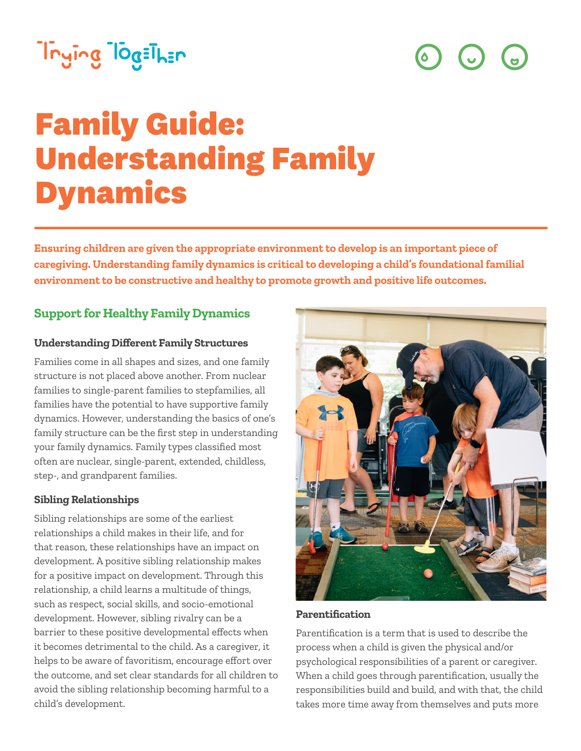# Trying TogEThEn

 $\left(\cdot\right)$  $\overline{\mathbf{G}}$ 

# **Family Guide: Understanding Family Dynamics**

**Ensuring children are given the appropriate environment to develop is an important piece of caregiving. Understanding family dynamics is critical to developing a child's foundational familial environment to be constructive and healthy to promote growth and positive life outcomes.** 

## **Support for Healthy Family Dynamics**

#### **Understanding Different Family Structures**

Families come in all shapes and sizes, and one family structure is not placed above another. From nuclear families to single-parent families to stepfamilies, all families have the potential to have supportive family dynamics. However, understanding the basics of one's family structure can be the first step in understanding your family dynamics. Family types classified most often are nuclear, single-parent, extended, childless, step-, and grandparent families.

#### **Sibling Relationships**

Sibling relationships are some of the earliest relationships a child makes in their life, and for that reason, these relationships have an impact on development. A positive sibling relationship makes for a positive impact on development. Through this relationship, a child learns a multitude of things, such as respect, social skills, and socio-emotional development. However, sibling rivalry can be a barrier to these positive developmental effects when it becomes detrimental to the child. As a caregiver, it helps to be aware of favoritism, encourage effort over the outcome, and set clear standards for all children to avoid the sibling relationship becoming harmful to a child's development.



#### **Parentification**

Parentification is a term that is used to describe the process when a child is given the physical and/or psychological responsibilities of a parent or caregiver. When a child goes through parentification, usually the responsibilities build and build, and with that, the child takes more time away from themselves and puts more